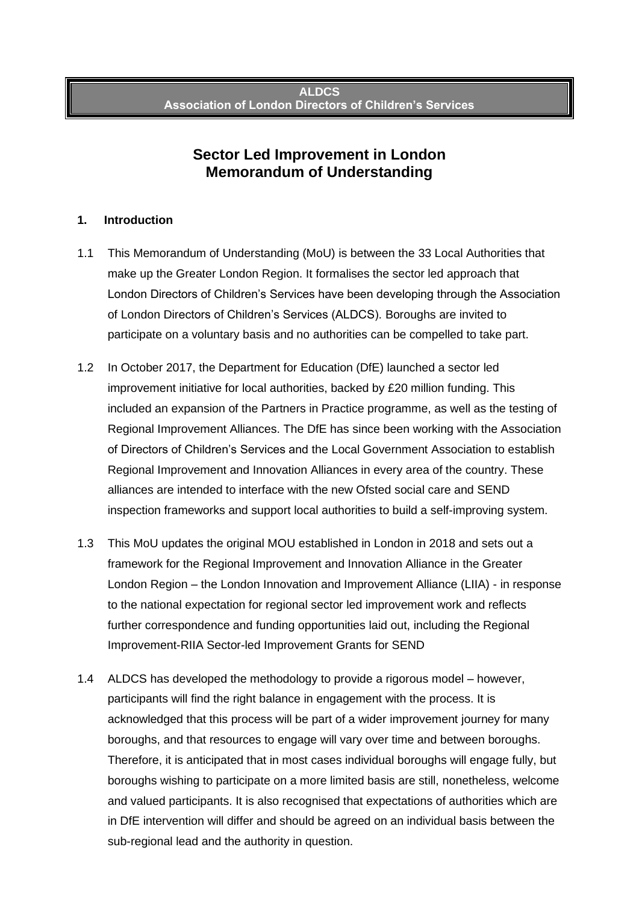# **Sector Led Improvement in London Memorandum of Understanding**

#### **1. Introduction**

- 1.1 This Memorandum of Understanding (MoU) is between the 33 Local Authorities that make up the Greater London Region. It formalises the sector led approach that London Directors of Children's Services have been developing through the Association of London Directors of Children's Services (ALDCS). Boroughs are invited to participate on a voluntary basis and no authorities can be compelled to take part.
- 1.2 In October 2017, the Department for Education (DfE) launched a sector led improvement initiative for local authorities, backed by £20 million funding. This included an expansion of the Partners in Practice programme, as well as the testing of Regional Improvement Alliances. The DfE has since been working with the Association of Directors of Children's Services and the Local Government Association to establish Regional Improvement and Innovation Alliances in every area of the country. These alliances are intended to interface with the new Ofsted social care and SEND inspection frameworks and support local authorities to build a self-improving system.
- 1.3 This MoU updates the original MOU established in London in 2018 and sets out a framework for the Regional Improvement and Innovation Alliance in the Greater London Region – the London Innovation and Improvement Alliance (LIIA) - in response to the national expectation for regional sector led improvement work and reflects further correspondence and funding opportunities laid out, including the Regional Improvement-RIIA Sector-led Improvement Grants for SEND
- 1.4 ALDCS has developed the methodology to provide a rigorous model however, participants will find the right balance in engagement with the process. It is acknowledged that this process will be part of a wider improvement journey for many boroughs, and that resources to engage will vary over time and between boroughs. Therefore, it is anticipated that in most cases individual boroughs will engage fully, but boroughs wishing to participate on a more limited basis are still, nonetheless, welcome and valued participants. It is also recognised that expectations of authorities which are in DfE intervention will differ and should be agreed on an individual basis between the sub-regional lead and the authority in question.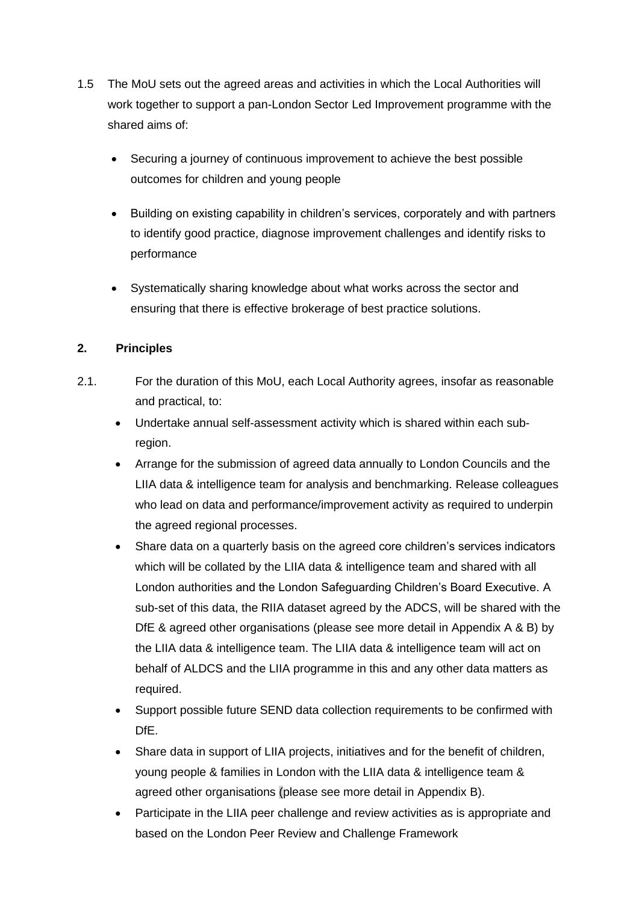- 1.5 The MoU sets out the agreed areas and activities in which the Local Authorities will work together to support a pan-London Sector Led Improvement programme with the shared aims of:
	- Securing a journey of continuous improvement to achieve the best possible outcomes for children and young people
	- Building on existing capability in children's services, corporately and with partners to identify good practice, diagnose improvement challenges and identify risks to performance
	- Systematically sharing knowledge about what works across the sector and ensuring that there is effective brokerage of best practice solutions.

### **2. Principles**

- 2.1. For the duration of this MoU, each Local Authority agrees, insofar as reasonable and practical, to:
	- Undertake annual self-assessment activity which is shared within each subregion.
	- Arrange for the submission of agreed data annually to London Councils and the LIIA data & intelligence team for analysis and benchmarking. Release colleagues who lead on data and performance/improvement activity as required to underpin the agreed regional processes.
	- Share data on a quarterly basis on the agreed core children's services indicators which will be collated by the LIIA data & intelligence team and shared with all London authorities and the London Safeguarding Children's Board Executive. A sub-set of this data, the RIIA dataset agreed by the ADCS, will be shared with the DfE & agreed other organisations (please see more detail in Appendix A & B) by the LIIA data & intelligence team. The LIIA data & intelligence team will act on behalf of ALDCS and the LIIA programme in this and any other data matters as required.
	- Support possible future SEND data collection requirements to be confirmed with DfE.
	- Share data in support of LIIA projects, initiatives and for the benefit of children, young people & families in London with the LIIA data & intelligence team & agreed other organisations (please see more detail in Appendix B).
	- Participate in the LIIA peer challenge and review activities as is appropriate and based on the London Peer Review and Challenge Framework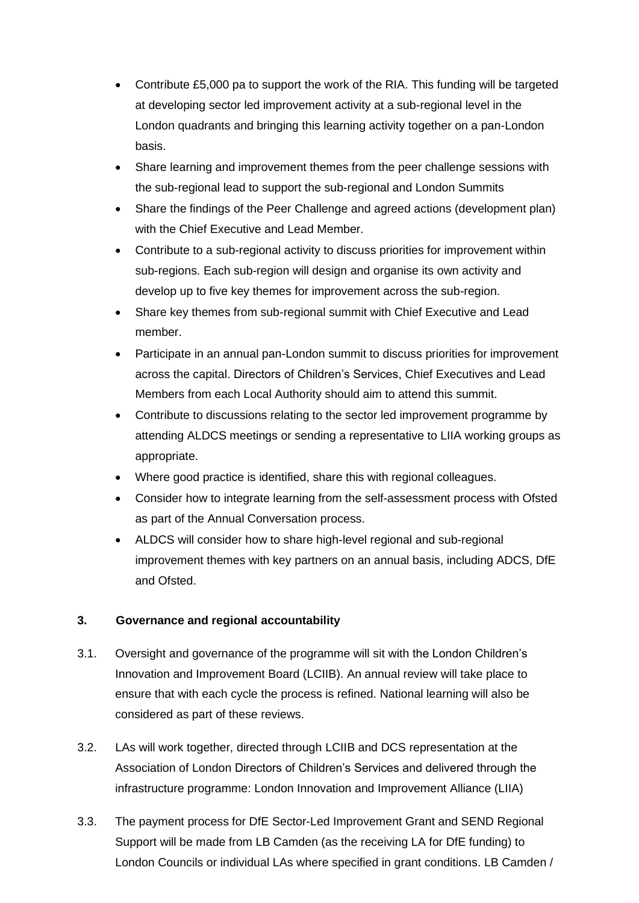- Contribute £5,000 pa to support the work of the RIA. This funding will be targeted at developing sector led improvement activity at a sub-regional level in the London quadrants and bringing this learning activity together on a pan-London basis.
- Share learning and improvement themes from the peer challenge sessions with the sub-regional lead to support the sub-regional and London Summits
- Share the findings of the Peer Challenge and agreed actions (development plan) with the Chief Executive and Lead Member.
- Contribute to a sub-regional activity to discuss priorities for improvement within sub-regions. Each sub-region will design and organise its own activity and develop up to five key themes for improvement across the sub-region.
- Share key themes from sub-regional summit with Chief Executive and Lead member.
- Participate in an annual pan-London summit to discuss priorities for improvement across the capital. Directors of Children's Services, Chief Executives and Lead Members from each Local Authority should aim to attend this summit.
- Contribute to discussions relating to the sector led improvement programme by attending ALDCS meetings or sending a representative to LIIA working groups as appropriate.
- Where good practice is identified, share this with regional colleagues.
- Consider how to integrate learning from the self-assessment process with Ofsted as part of the Annual Conversation process.
- ALDCS will consider how to share high-level regional and sub-regional improvement themes with key partners on an annual basis, including ADCS, DfE and Ofsted.

#### **3. Governance and regional accountability**

- 3.1. Oversight and governance of the programme will sit with the London Children's Innovation and Improvement Board (LCIIB). An annual review will take place to ensure that with each cycle the process is refined. National learning will also be considered as part of these reviews.
- 3.2. LAs will work together, directed through LCIIB and DCS representation at the Association of London Directors of Children's Services and delivered through the infrastructure programme: London Innovation and Improvement Alliance (LIIA)
- 3.3. The payment process for DfE Sector-Led Improvement Grant and SEND Regional Support will be made from LB Camden (as the receiving LA for DfE funding) to London Councils or individual LAs where specified in grant conditions. LB Camden /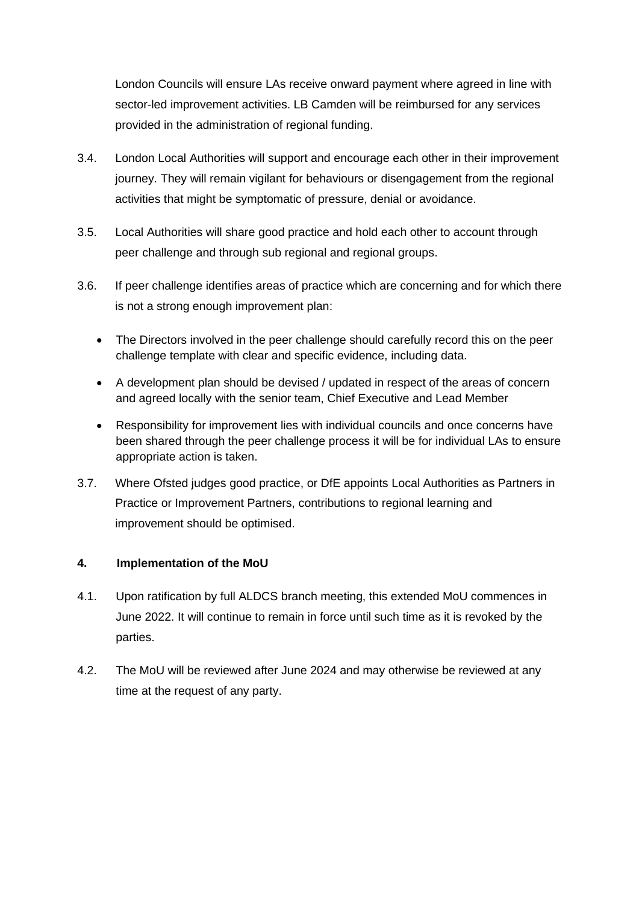London Councils will ensure LAs receive onward payment where agreed in line with sector-led improvement activities. LB Camden will be reimbursed for any services provided in the administration of regional funding.

- 3.4. London Local Authorities will support and encourage each other in their improvement journey. They will remain vigilant for behaviours or disengagement from the regional activities that might be symptomatic of pressure, denial or avoidance.
- 3.5. Local Authorities will share good practice and hold each other to account through peer challenge and through sub regional and regional groups.
- 3.6. If peer challenge identifies areas of practice which are concerning and for which there is not a strong enough improvement plan:
	- The Directors involved in the peer challenge should carefully record this on the peer challenge template with clear and specific evidence, including data.
	- A development plan should be devised / updated in respect of the areas of concern and agreed locally with the senior team, Chief Executive and Lead Member
	- Responsibility for improvement lies with individual councils and once concerns have been shared through the peer challenge process it will be for individual LAs to ensure appropriate action is taken.
- 3.7. Where Ofsted judges good practice, or DfE appoints Local Authorities as Partners in Practice or Improvement Partners, contributions to regional learning and improvement should be optimised.

#### **4. Implementation of the MoU**

- 4.1. Upon ratification by full ALDCS branch meeting, this extended MoU commences in June 2022. It will continue to remain in force until such time as it is revoked by the parties.
- 4.2. The MoU will be reviewed after June 2024 and may otherwise be reviewed at any time at the request of any party.